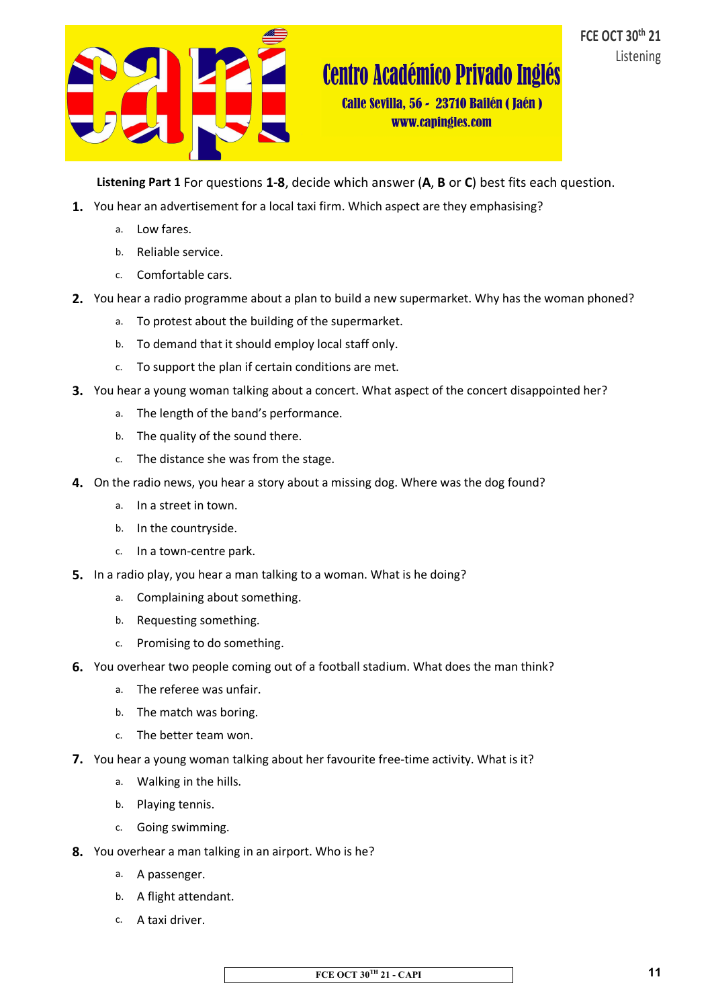

Calle Sevilla, 56 - 23710 Bailén (Jaén) www.capingles.com

**Listening Part 1** For questions **1-8**, decide which answer (**A**, **B** or **C**) best fits each question.

- **1.** You hear an advertisement for a local taxi firm. Which aspect are they emphasising?
	- a. Low fares.
	- b. Reliable service.
	- c. Comfortable cars.
- **2.** You hear a radio programme about a plan to build a new supermarket. Why has the woman phoned?
	- a. To protest about the building of the supermarket.
	- b. To demand that it should employ local staff only.
	- c. To support the plan if certain conditions are met.
- **3.** You hear a young woman talking about a concert. What aspect of the concert disappointed her?
	- a. The length of the band's performance.
	- b. The quality of the sound there.
	- c. The distance she was from the stage.
- **4.** On the radio news, you hear a story about a missing dog. Where was the dog found?
	- a. In a street in town.
	- b. In the countryside.
	- c. In a town-centre park.
- **5.** In a radio play, you hear a man talking to a woman. What is he doing?
	- a. Complaining about something.
	- b. Requesting something.
	- c. Promising to do something.
- **6.** You overhear two people coming out of a football stadium. What does the man think?
	- a. The referee was unfair.
	- b. The match was boring.
	- c. The better team won.
- **7.** You hear a young woman talking about her favourite free-time activity. What is it?
	- a. Walking in the hills.
	- b. Playing tennis.
	- c. Going swimming.
- **8.** You overhear a man talking in an airport. Who is he?
	- a. A passenger.
	- b. A flight attendant.
	- c. A taxi driver.

**FCE OCT 30TH 21 - CAPI**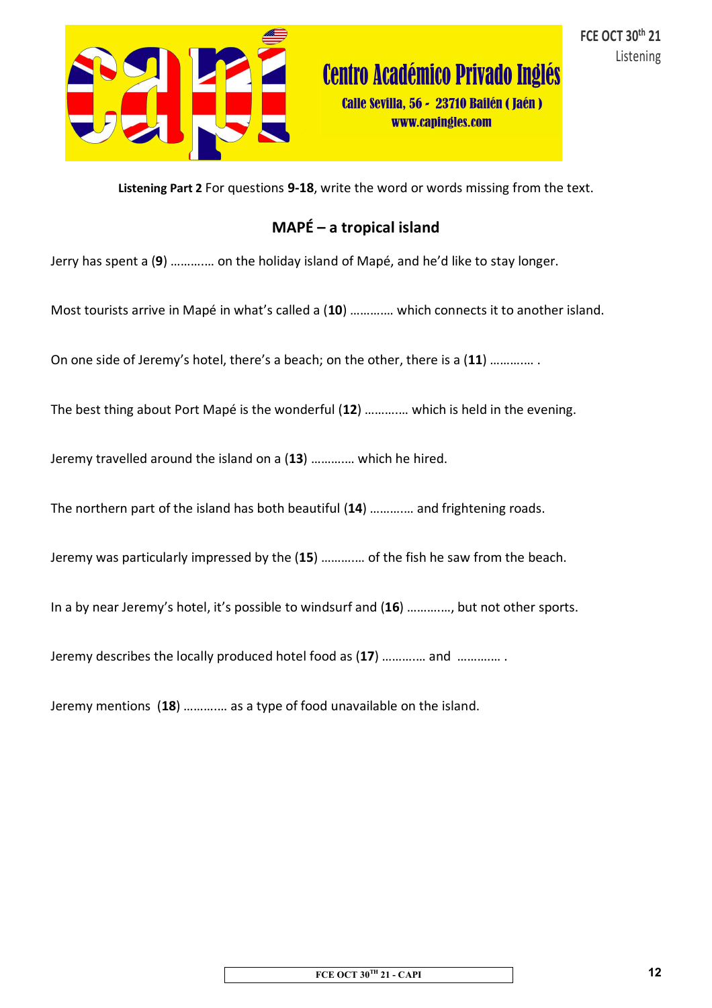

**Centro Académico Privado Inglés** 

Calle Sevilla, 56 - 23710 Bailén (Jaén) www.capingles.com

**Listening Part 2** For questions **9-18**, write the word or words missing from the text.

## **MAPÉ – a tropical island**

Jerry has spent a (**9**) ……….… on the holiday island of Mapé, and he'd like to stay longer.

Most tourists arrive in Mapé in what's called a (**10**) ……….… which connects it to another island.

On one side of Jeremy's hotel, there's a beach; on the other, there is a (**11**) ……….… .

The best thing about Port Mapé is the wonderful (**12**) ……….… which is held in the evening.

Jeremy travelled around the island on a (**13**) ……….… which he hired.

The northern part of the island has both beautiful (**14**) ……….… and frightening roads.

Jeremy was particularly impressed by the (**15**) ……….… of the fish he saw from the beach.

In a by near Jeremy's hotel, it's possible to windsurf and (**16**) ……….…, but not other sports.

Jeremy describes the locally produced hotel food as (**17**) ……….… and ……….… .

Jeremy mentions (**18**) ……….… as a type of food unavailable on the island.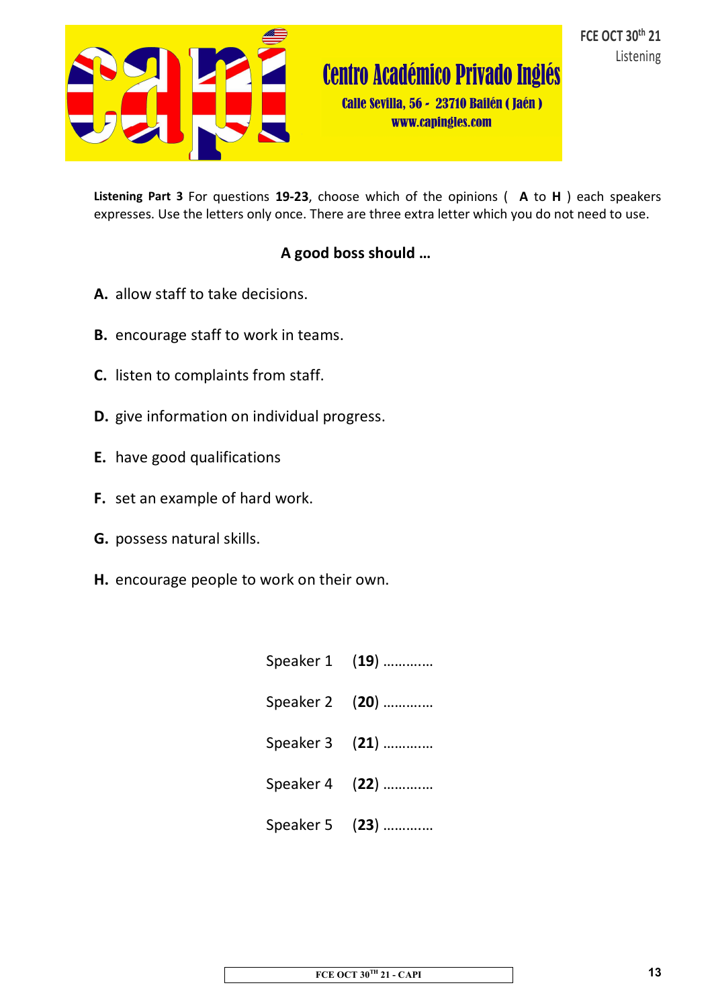

**Centro Académico Privado Inglés** 

Calle Sevilla, 56 - 23710 Bailén (Jaén) www.capingles.com

**Listening Part 3** For questions **19-23**, choose which of the opinions ( **A** to **H** ) each speakers expresses. Use the letters only once. There are three extra letter which you do not need to use.

## **A good boss should …**

- **A.** allow staff to take decisions.
- **B.** encourage staff to work in teams.
- **C.** listen to complaints from staff.
- **D.** give information on individual progress.
- **E.** have good qualifications
- **F.** set an example of hard work.
- **G.** possess natural skills.
- **H.** encourage people to work on their own.

| Speaker 1 (19) |
|----------------|
| Speaker 2 (20) |
| Speaker 3 (21) |
| Speaker 4 (22) |
| Speaker 5 (23) |